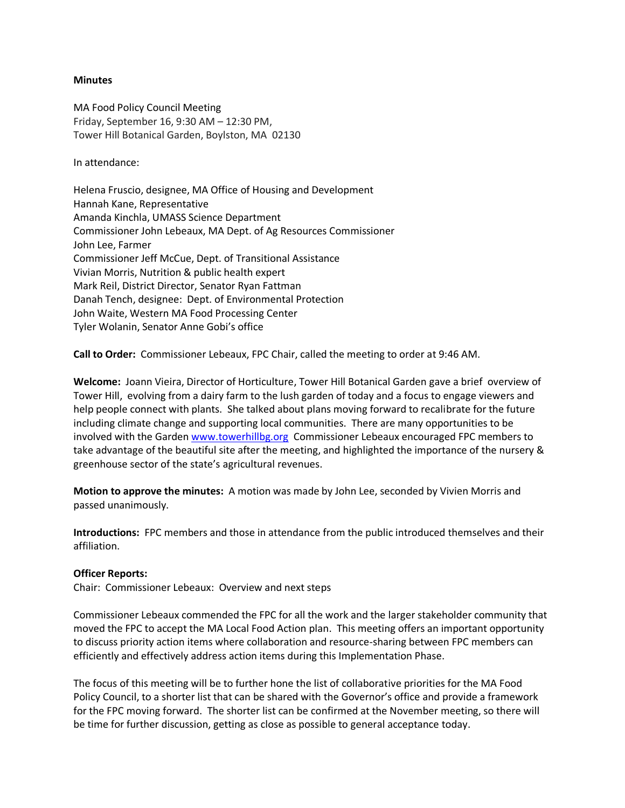### **Minutes**

MA Food Policy Council Meeting Friday, September 16, 9:30 AM – 12:30 PM, Tower Hill Botanical Garden, Boylston, MA 02130

In attendance:

Helena Fruscio, designee, MA Office of Housing and Development Hannah Kane, Representative Amanda Kinchla, UMASS Science Department Commissioner John Lebeaux, MA Dept. of Ag Resources Commissioner John Lee, Farmer Commissioner Jeff McCue, Dept. of Transitional Assistance Vivian Morris, Nutrition & public health expert Mark Reil, District Director, Senator Ryan Fattman Danah Tench, designee: Dept. of Environmental Protection John Waite, Western MA Food Processing Center Tyler Wolanin, Senator Anne Gobi's office

**Call to Order:** Commissioner Lebeaux, FPC Chair, called the meeting to order at 9:46 AM.

**Welcome:** Joann Vieira, Director of Horticulture, Tower Hill Botanical Garden gave a brief overview of Tower Hill, evolving from a dairy farm to the lush garden of today and a focus to engage viewers and help people connect with plants. She talked about plans moving forward to recalibrate for the future including climate change and supporting local communities. There are many opportunities to be involved with the Garde[n www.towerhillbg.org](http://www.towerhillbg.org/) Commissioner Lebeaux encouraged FPC members to take advantage of the beautiful site after the meeting, and highlighted the importance of the nursery & greenhouse sector of the state's agricultural revenues.

**Motion to approve the minutes:** A motion was made by John Lee, seconded by Vivien Morris and passed unanimously.

**Introductions:** FPC members and those in attendance from the public introduced themselves and their affiliation.

## **Officer Reports:**

Chair: Commissioner Lebeaux: Overview and next steps

Commissioner Lebeaux commended the FPC for all the work and the larger stakeholder community that moved the FPC to accept the MA Local Food Action plan. This meeting offers an important opportunity to discuss priority action items where collaboration and resource-sharing between FPC members can efficiently and effectively address action items during this Implementation Phase.

The focus of this meeting will be to further hone the list of collaborative priorities for the MA Food Policy Council, to a shorter list that can be shared with the Governor's office and provide a framework for the FPC moving forward. The shorter list can be confirmed at the November meeting, so there will be time for further discussion, getting as close as possible to general acceptance today.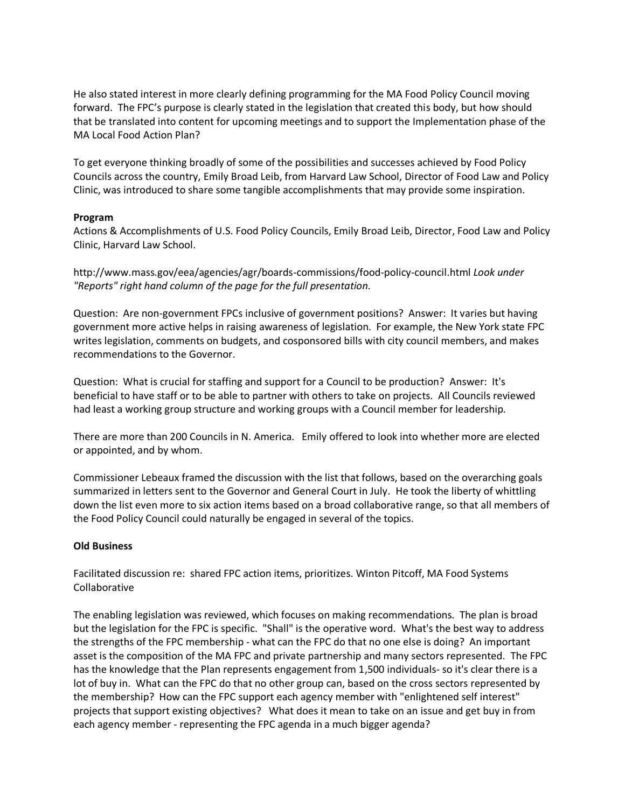He also stated interest in more clearly defining programming for the MA Food Policy Council moving forward. The FPC's purpose is clearly stated in the legislation that created this body, but how should that be translated into content for upcoming meetings and to support the Implementation phase of the MA Local Food Action Plan?

To get everyone thinking broadly of some of the possibilities and successes achieved by Food Policy Councils across the country, Emily Broad Leib, from Harvard Law School, Director of Food Law and Policy Clinic, was introduced to share some tangible accomplishments that may provide some inspiration.

# **Program**

Actions & Accomplishments of U.S. Food Policy Councils, Emily Broad Leib, Director, Food Law and Policy Clinic, Harvard Law School.

http://www.mass.gov/eea/agencies/agr/boards-commissions/food-policy-council.html *Look under "Reports" right hand column of the page for the full presentation.*

Question: Are non-government FPCs inclusive of government positions? Answer: It varies but having government more active helps in raising awareness of legislation. For example, the New York state FPC writes legislation, comments on budgets, and cosponsored bills with city council members, and makes recommendations to the Governor.

Question: What is crucial for staffing and support for a Council to be production? Answer: It's beneficial to have staff or to be able to partner with others to take on projects. All Councils reviewed had least a working group structure and working groups with a Council member for leadership.

There are more than 200 Councils in N. America. Emily offered to look into whether more are elected or appointed, and by whom.

Commissioner Lebeaux framed the discussion with the list that follows, based on the overarching goals summarized in letters sent to the Governor and General Court in July. He took the liberty of whittling down the list even more to six action items based on a broad collaborative range, so that all members of the Food Policy Council could naturally be engaged in several of the topics.

## **Old Business**

Facilitated discussion re: shared FPC action items, prioritizes. Winton Pitcoff, MA Food Systems Collaborative

The enabling legislation was reviewed, which focuses on making recommendations. The plan is broad but the legislation for the FPC is specific. "Shall" is the operative word. What's the best way to address the strengths of the FPC membership - what can the FPC do that no one else is doing? An important asset is the composition of the MA FPC and private partnership and many sectors represented. The FPC has the knowledge that the Plan represents engagement from 1,500 individuals- so it's clear there is a lot of buy in. What can the FPC do that no other group can, based on the cross sectors represented by the membership? How can the FPC support each agency member with "enlightened self interest" projects that support existing objectives? What does it mean to take on an issue and get buy in from each agency member - representing the FPC agenda in a much bigger agenda?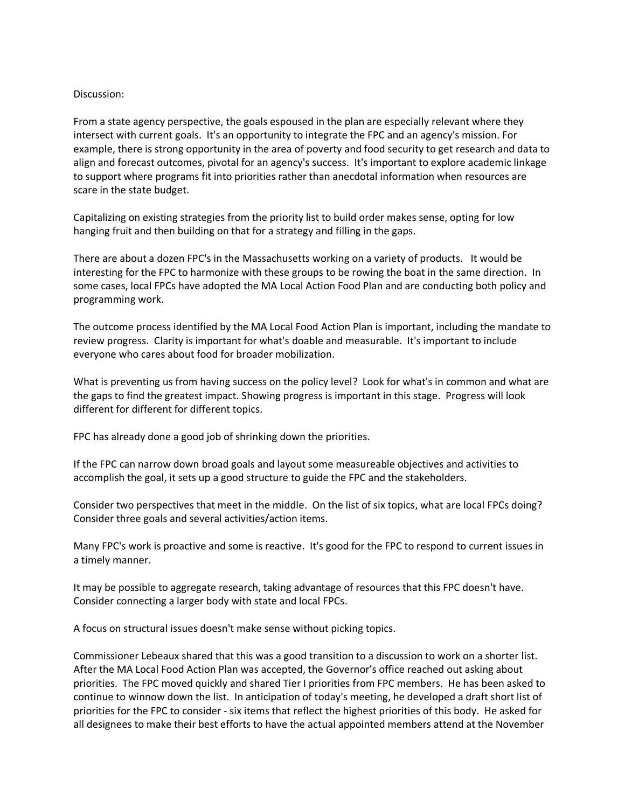### Discussion:

From a state agency perspective, the goals espoused in the plan are especially relevant where they intersect with current goals. It's an opportunity to integrate the FPC and an agency's mission. For example, there is strong opportunity in the area of poverty and food security to get research and data to align and forecast outcomes, pivotal for an agency's success. It's important to explore academic linkage to support where programs fit into priorities rather than anecdotal information when resources are scare in the state budget.

Capitalizing on existing strategies from the priority list to build order makes sense, opting for low hanging fruit and then building on that for a strategy and filling in the gaps.

There are about a dozen FPC's in the Massachusetts working on a variety of products. It would be interesting for the FPC to harmonize with these groups to be rowing the boat in the same direction. In some cases, local FPCs have adopted the MA Local Action Food Plan and are conducting both policy and programming work.

The outcome process identified by the MA Local Food Action Plan is important, including the mandate to review progress. Clarity is important for what's doable and measurable. It's important to include everyone who cares about food for broader mobilization.

What is preventing us from having success on the policy level? Look for what's in common and what are the gaps to find the greatest impact. Showing progress is important in this stage. Progress will look different for different for different topics.

FPC has already done a good job of shrinking down the priorities.

If the FPC can narrow down broad goals and layout some measureable objectives and activities to accomplish the goal, it sets up a good structure to guide the FPC and the stakeholders.

Consider two perspectives that meet in the middle. On the list of six topics, what are local FPCs doing? Consider three goals and several activities/action items.

Many FPC's work is proactive and some is reactive. It's good for the FPC to respond to current issues in a timely manner.

It may be possible to aggregate research, taking advantage of resources that this FPC doesn't have. Consider connecting a larger body with state and local FPCs.

A focus on structural issues doesn't make sense without picking topics.

Commissioner Lebeaux shared that this was a good transition to a discussion to work on a shorter list. After the MA Local Food Action Plan was accepted, the Governor's office reached out asking about priorities. The FPC moved quickly and shared Tier I priorities from FPC members. He has been asked to continue to winnow down the list. In anticipation of today's meeting, he developed a draft short list of priorities for the FPC to consider - six items that reflect the highest priorities of this body. He asked for all designees to make their best efforts to have the actual appointed members attend at the November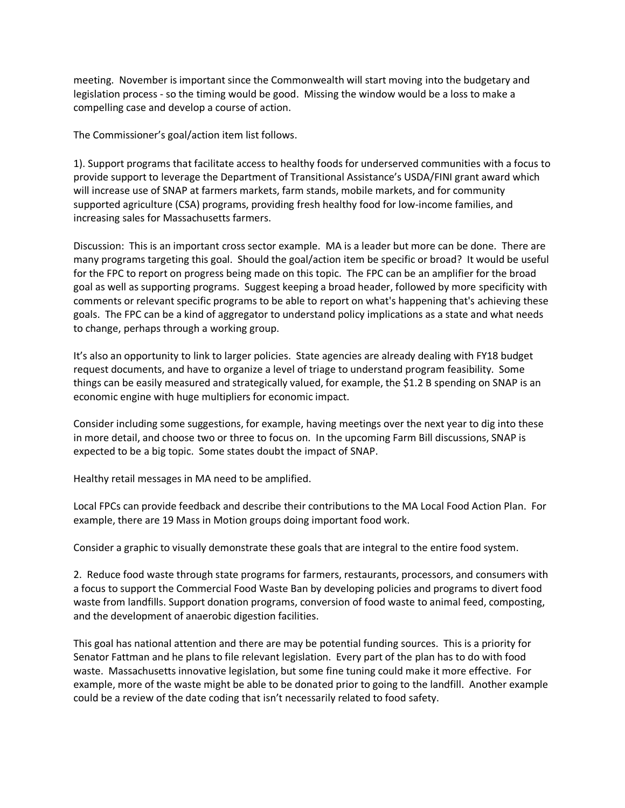meeting. November is important since the Commonwealth will start moving into the budgetary and legislation process - so the timing would be good. Missing the window would be a loss to make a compelling case and develop a course of action.

The Commissioner's goal/action item list follows.

1). Support programs that facilitate access to healthy foods for underserved communities with a focus to provide support to leverage the Department of Transitional Assistance's USDA/FINI grant award which will increase use of SNAP at farmers markets, farm stands, mobile markets, and for community supported agriculture (CSA) programs, providing fresh healthy food for low-income families, and increasing sales for Massachusetts farmers.

Discussion: This is an important cross sector example. MA is a leader but more can be done. There are many programs targeting this goal. Should the goal/action item be specific or broad? It would be useful for the FPC to report on progress being made on this topic. The FPC can be an amplifier for the broad goal as well as supporting programs. Suggest keeping a broad header, followed by more specificity with comments or relevant specific programs to be able to report on what's happening that's achieving these goals. The FPC can be a kind of aggregator to understand policy implications as a state and what needs to change, perhaps through a working group.

It's also an opportunity to link to larger policies. State agencies are already dealing with FY18 budget request documents, and have to organize a level of triage to understand program feasibility. Some things can be easily measured and strategically valued, for example, the \$1.2 B spending on SNAP is an economic engine with huge multipliers for economic impact.

Consider including some suggestions, for example, having meetings over the next year to dig into these in more detail, and choose two or three to focus on. In the upcoming Farm Bill discussions, SNAP is expected to be a big topic. Some states doubt the impact of SNAP.

Healthy retail messages in MA need to be amplified.

Local FPCs can provide feedback and describe their contributions to the MA Local Food Action Plan. For example, there are 19 Mass in Motion groups doing important food work.

Consider a graphic to visually demonstrate these goals that are integral to the entire food system.

2. Reduce food waste through state programs for farmers, restaurants, processors, and consumers with a focus to support the Commercial Food Waste Ban by developing policies and programs to divert food waste from landfills. Support donation programs, conversion of food waste to animal feed, composting, and the development of anaerobic digestion facilities.

This goal has national attention and there are may be potential funding sources. This is a priority for Senator Fattman and he plans to file relevant legislation. Every part of the plan has to do with food waste. Massachusetts innovative legislation, but some fine tuning could make it more effective. For example, more of the waste might be able to be donated prior to going to the landfill. Another example could be a review of the date coding that isn't necessarily related to food safety.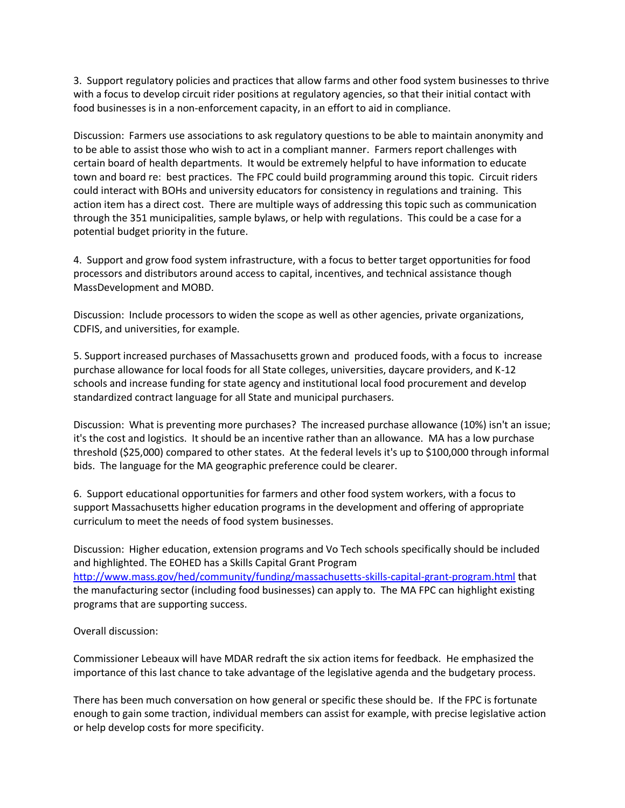3. Support regulatory policies and practices that allow farms and other food system businesses to thrive with a focus to develop circuit rider positions at regulatory agencies, so that their initial contact with food businesses is in a non-enforcement capacity, in an effort to aid in compliance.

Discussion: Farmers use associations to ask regulatory questions to be able to maintain anonymity and to be able to assist those who wish to act in a compliant manner. Farmers report challenges with certain board of health departments. It would be extremely helpful to have information to educate town and board re: best practices. The FPC could build programming around this topic. Circuit riders could interact with BOHs and university educators for consistency in regulations and training. This action item has a direct cost. There are multiple ways of addressing this topic such as communication through the 351 municipalities, sample bylaws, or help with regulations. This could be a case for a potential budget priority in the future.

4. Support and grow food system infrastructure, with a focus to better target opportunities for food processors and distributors around access to capital, incentives, and technical assistance though MassDevelopment and MOBD.

Discussion: Include processors to widen the scope as well as other agencies, private organizations, CDFIS, and universities, for example.

5. Support increased purchases of Massachusetts grown and produced foods, with a focus to increase purchase allowance for local foods for all State colleges, universities, daycare providers, and K-12 schools and increase funding for state agency and institutional local food procurement and develop standardized contract language for all State and municipal purchasers.

Discussion: What is preventing more purchases? The increased purchase allowance (10%) isn't an issue; it's the cost and logistics. It should be an incentive rather than an allowance. MA has a low purchase threshold (\$25,000) compared to other states. At the federal levels it's up to \$100,000 through informal bids. The language for the MA geographic preference could be clearer.

6. Support educational opportunities for farmers and other food system workers, with a focus to support Massachusetts higher education programs in the development and offering of appropriate curriculum to meet the needs of food system businesses.

Discussion: Higher education, extension programs and Vo Tech schools specifically should be included and highlighted. The EOHED has a Skills Capital Grant Program <http://www.mass.gov/hed/community/funding/massachusetts-skills-capital-grant-program.html> that the manufacturing sector (including food businesses) can apply to. The MA FPC can highlight existing programs that are supporting success.

#### Overall discussion:

Commissioner Lebeaux will have MDAR redraft the six action items for feedback. He emphasized the importance of this last chance to take advantage of the legislative agenda and the budgetary process.

There has been much conversation on how general or specific these should be. If the FPC is fortunate enough to gain some traction, individual members can assist for example, with precise legislative action or help develop costs for more specificity.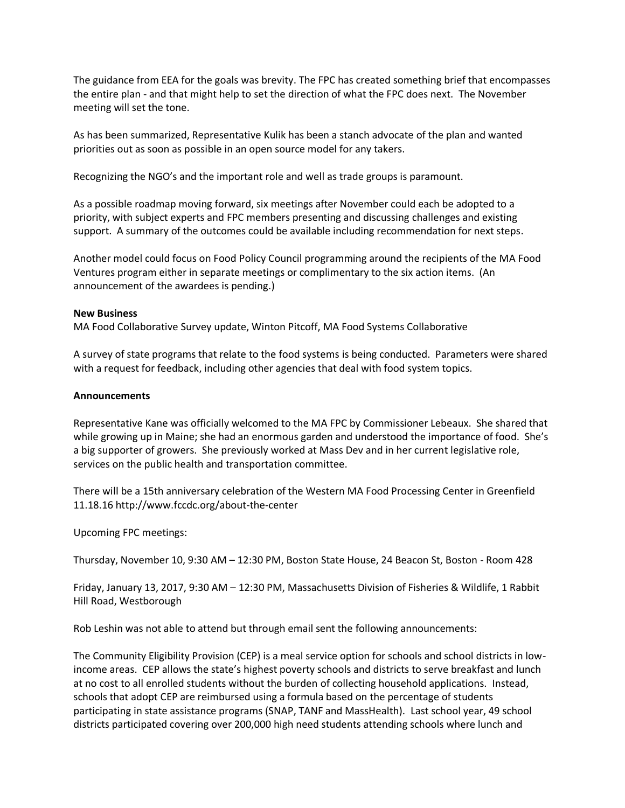The guidance from EEA for the goals was brevity. The FPC has created something brief that encompasses the entire plan - and that might help to set the direction of what the FPC does next. The November meeting will set the tone.

As has been summarized, Representative Kulik has been a stanch advocate of the plan and wanted priorities out as soon as possible in an open source model for any takers.

Recognizing the NGO's and the important role and well as trade groups is paramount.

As a possible roadmap moving forward, six meetings after November could each be adopted to a priority, with subject experts and FPC members presenting and discussing challenges and existing support. A summary of the outcomes could be available including recommendation for next steps.

Another model could focus on Food Policy Council programming around the recipients of the MA Food Ventures program either in separate meetings or complimentary to the six action items. (An announcement of the awardees is pending.)

#### **New Business**

MA Food Collaborative Survey update, Winton Pitcoff, MA Food Systems Collaborative

A survey of state programs that relate to the food systems is being conducted. Parameters were shared with a request for feedback, including other agencies that deal with food system topics.

### **Announcements**

Representative Kane was officially welcomed to the MA FPC by Commissioner Lebeaux. She shared that while growing up in Maine; she had an enormous garden and understood the importance of food. She's a big supporter of growers. She previously worked at Mass Dev and in her current legislative role, services on the public health and transportation committee.

There will be a 15th anniversary celebration of the Western MA Food Processing Center in Greenfield 11.18.16 http://www.fccdc.org/about-the-center

Upcoming FPC meetings:

Thursday, November 10, 9:30 AM – 12:30 PM, Boston State House, 24 Beacon St, Boston - Room 428

Friday, January 13, 2017, 9:30 AM – 12:30 PM, Massachusetts Division of Fisheries & Wildlife, 1 Rabbit Hill Road, Westborough

Rob Leshin was not able to attend but through email sent the following announcements:

The Community Eligibility Provision (CEP) is a meal service option for schools and school districts in lowincome areas. CEP allows the state's highest poverty schools and districts to serve breakfast and lunch at no cost to all enrolled students without the burden of collecting household applications. Instead, schools that adopt CEP are reimbursed using a formula based on the percentage of students participating in state assistance programs (SNAP, TANF and MassHealth). Last school year, 49 school districts participated covering over 200,000 high need students attending schools where lunch and